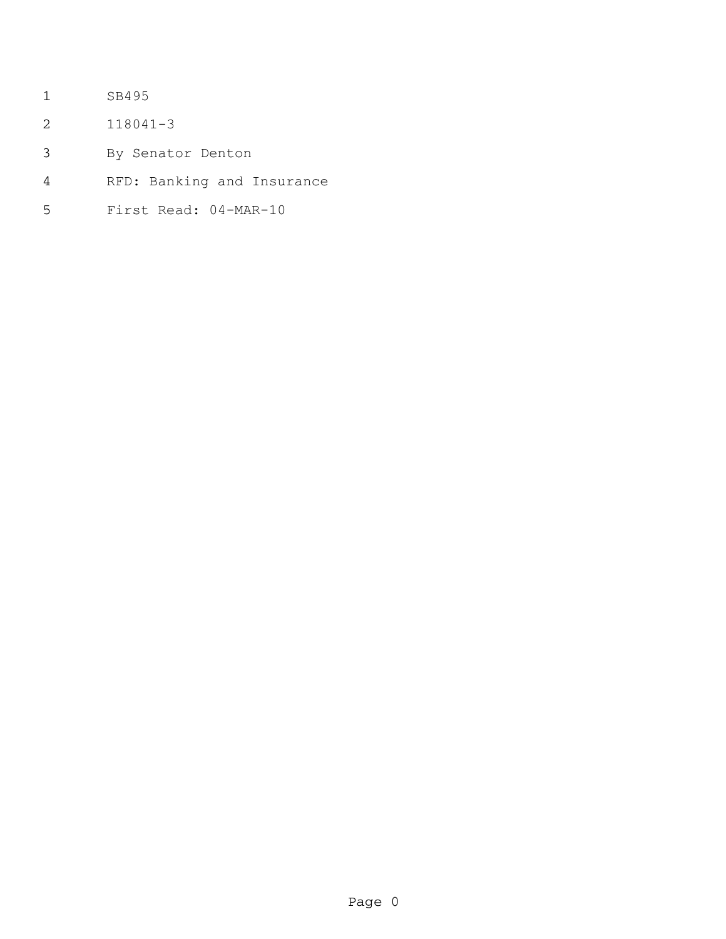- SB495
- 118041-3
- By Senator Denton
- RFD: Banking and Insurance
- First Read: 04-MAR-10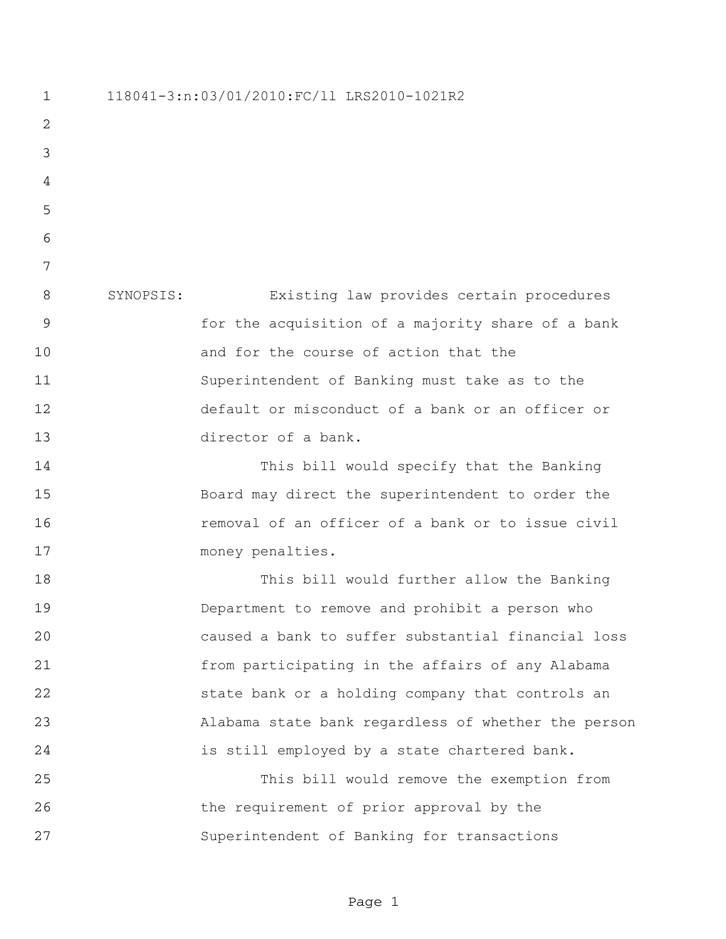118041-3:n:03/01/2010:FC/ll LRS2010-1021R2 SYNOPSIS: Existing law provides certain procedures for the acquisition of a majority share of a bank 10 and for the course of action that the Superintendent of Banking must take as to the default or misconduct of a bank or an officer or director of a bank. This bill would specify that the Banking Board may direct the superintendent to order the removal of an officer of a bank or to issue civil 17 money penalties. This bill would further allow the Banking Department to remove and prohibit a person who caused a bank to suffer substantial financial loss from participating in the affairs of any Alabama state bank or a holding company that controls an Alabama state bank regardless of whether the person is still employed by a state chartered bank. This bill would remove the exemption from the requirement of prior approval by the Superintendent of Banking for transactions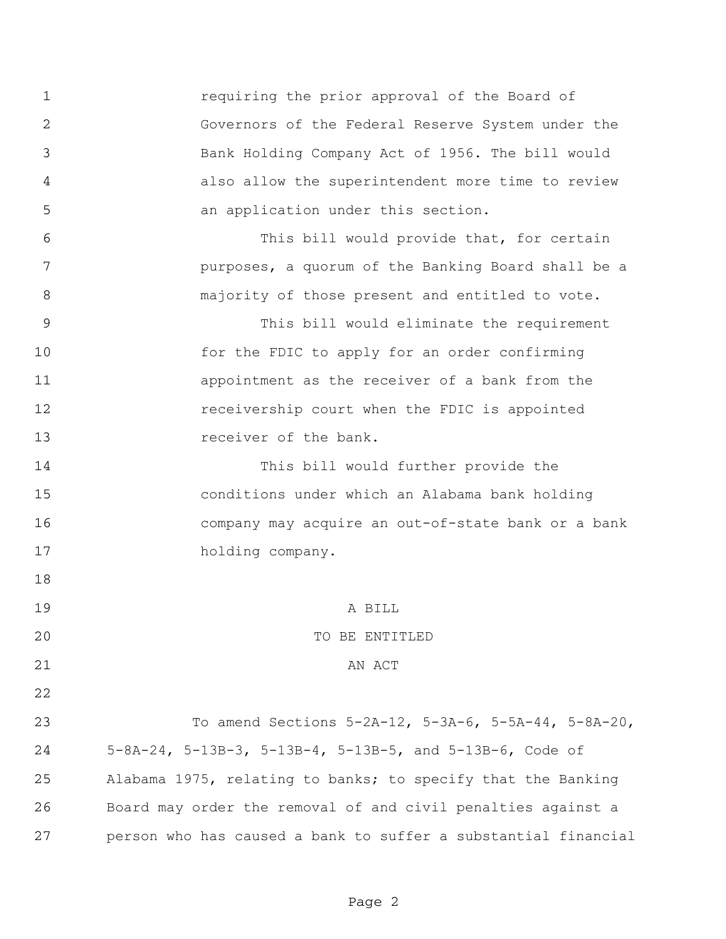requiring the prior approval of the Board of Governors of the Federal Reserve System under the Bank Holding Company Act of 1956. The bill would also allow the superintendent more time to review an application under this section.

 This bill would provide that, for certain purposes, a quorum of the Banking Board shall be a 8 majority of those present and entitled to vote.

 This bill would eliminate the requirement for the FDIC to apply for an order confirming appointment as the receiver of a bank from the receivership court when the FDIC is appointed **13 receiver** of the bank.

 This bill would further provide the conditions under which an Alabama bank holding company may acquire an out-of-state bank or a bank 17 holding company.

A BILL

## 20 TO BE ENTITLED

## 21 AN ACT

 To amend Sections 5-2A-12, 5-3A-6, 5-5A-44, 5-8A-20, 5-8A-24, 5-13B-3, 5-13B-4, 5-13B-5, and 5-13B-6, Code of Alabama 1975, relating to banks; to specify that the Banking Board may order the removal of and civil penalties against a person who has caused a bank to suffer a substantial financial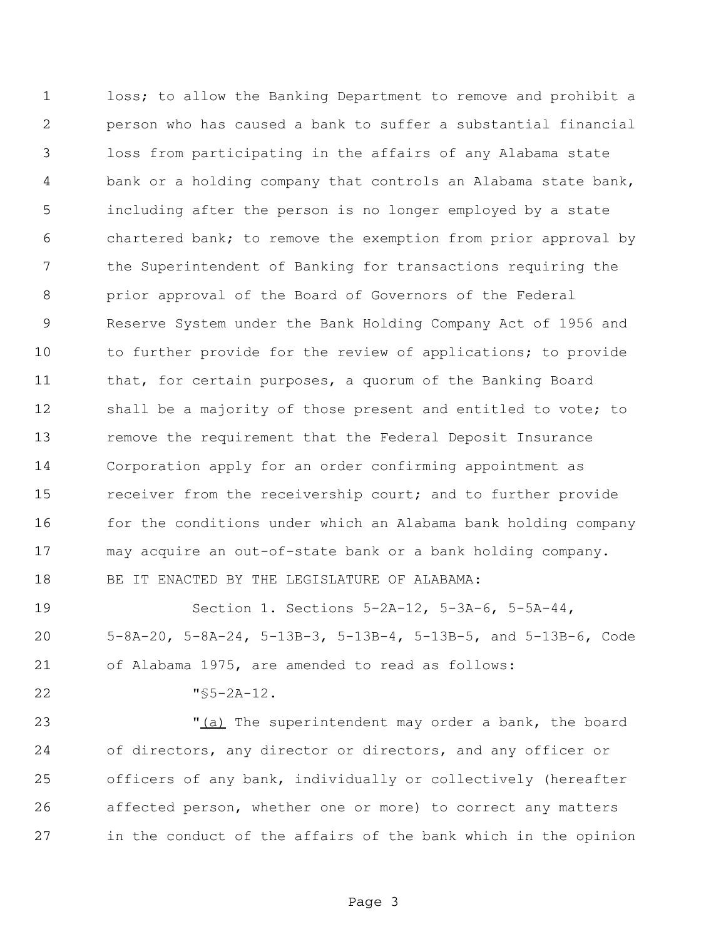loss; to allow the Banking Department to remove and prohibit a person who has caused a bank to suffer a substantial financial loss from participating in the affairs of any Alabama state bank or a holding company that controls an Alabama state bank, including after the person is no longer employed by a state chartered bank; to remove the exemption from prior approval by the Superintendent of Banking for transactions requiring the prior approval of the Board of Governors of the Federal Reserve System under the Bank Holding Company Act of 1956 and to further provide for the review of applications; to provide 11 that, for certain purposes, a quorum of the Banking Board shall be a majority of those present and entitled to vote; to remove the requirement that the Federal Deposit Insurance Corporation apply for an order confirming appointment as receiver from the receivership court; and to further provide for the conditions under which an Alabama bank holding company may acquire an out-of-state bank or a bank holding company. BE IT ENACTED BY THE LEGISLATURE OF ALABAMA:

 Section 1. Sections 5-2A-12, 5-3A-6, 5-5A-44, 5-8A-20, 5-8A-24, 5-13B-3, 5-13B-4, 5-13B-5, and 5-13B-6, Code of Alabama 1975, are amended to read as follows:

"§5-2A-12.

23 The superintendent may order a bank, the board of directors, any director or directors, and any officer or officers of any bank, individually or collectively (hereafter affected person, whether one or more) to correct any matters in the conduct of the affairs of the bank which in the opinion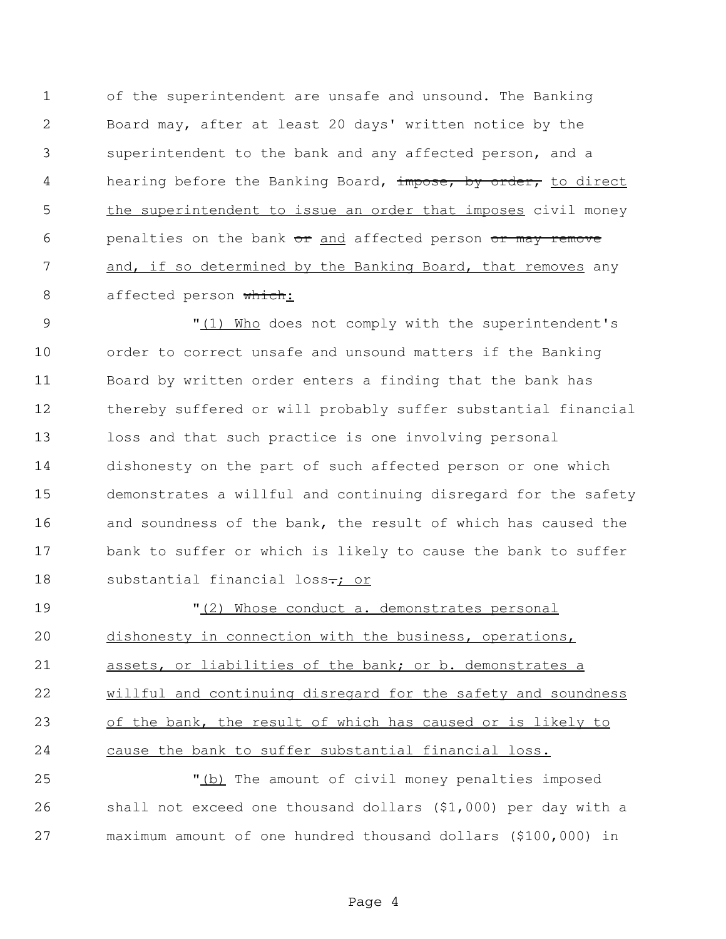of the superintendent are unsafe and unsound. The Banking Board may, after at least 20 days' written notice by the superintendent to the bank and any affected person, and a 4 hearing before the Banking Board, impose, by order, to direct the superintendent to issue an order that imposes civil money 6 penalties on the bank or and affected person or may remove 7 and, if so determined by the Banking Board, that removes any 8 affected person which:

 $\frac{1}{1}$  Who does not comply with the superintendent's order to correct unsafe and unsound matters if the Banking Board by written order enters a finding that the bank has thereby suffered or will probably suffer substantial financial loss and that such practice is one involving personal dishonesty on the part of such affected person or one which demonstrates a willful and continuing disregard for the safety and soundness of the bank, the result of which has caused the bank to suffer or which is likely to cause the bank to suffer 18 substantial financial loss-; or

 "(2) Whose conduct a. demonstrates personal dishonesty in connection with the business, operations, 21 assets, or liabilities of the bank; or b. demonstrates a willful and continuing disregard for the safety and soundness of the bank, the result of which has caused or is likely to cause the bank to suffer substantial financial loss.

 "(b) The amount of civil money penalties imposed shall not exceed one thousand dollars (\$1,000) per day with a maximum amount of one hundred thousand dollars (\$100,000) in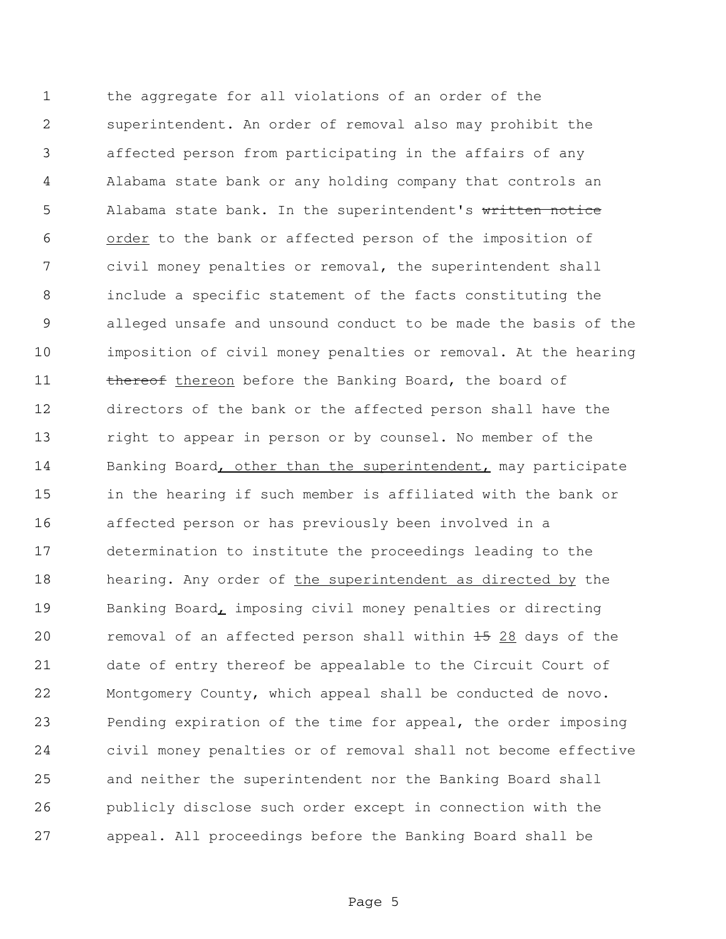the aggregate for all violations of an order of the superintendent. An order of removal also may prohibit the affected person from participating in the affairs of any Alabama state bank or any holding company that controls an 5 Alabama state bank. In the superintendent's written notice order to the bank or affected person of the imposition of civil money penalties or removal, the superintendent shall include a specific statement of the facts constituting the alleged unsafe and unsound conduct to be made the basis of the imposition of civil money penalties or removal. At the hearing 11 thereof thereon before the Banking Board, the board of directors of the bank or the affected person shall have the right to appear in person or by counsel. No member of the 14 Banking Board, other than the superintendent, may participate in the hearing if such member is affiliated with the bank or affected person or has previously been involved in a determination to institute the proceedings leading to the 18 hearing. Any order of the superintendent as directed by the 19 Banking Board, imposing civil money penalties or directing 20 removal of an affected person shall within 28 days of the date of entry thereof be appealable to the Circuit Court of Montgomery County, which appeal shall be conducted de novo. Pending expiration of the time for appeal, the order imposing civil money penalties or of removal shall not become effective and neither the superintendent nor the Banking Board shall publicly disclose such order except in connection with the appeal. All proceedings before the Banking Board shall be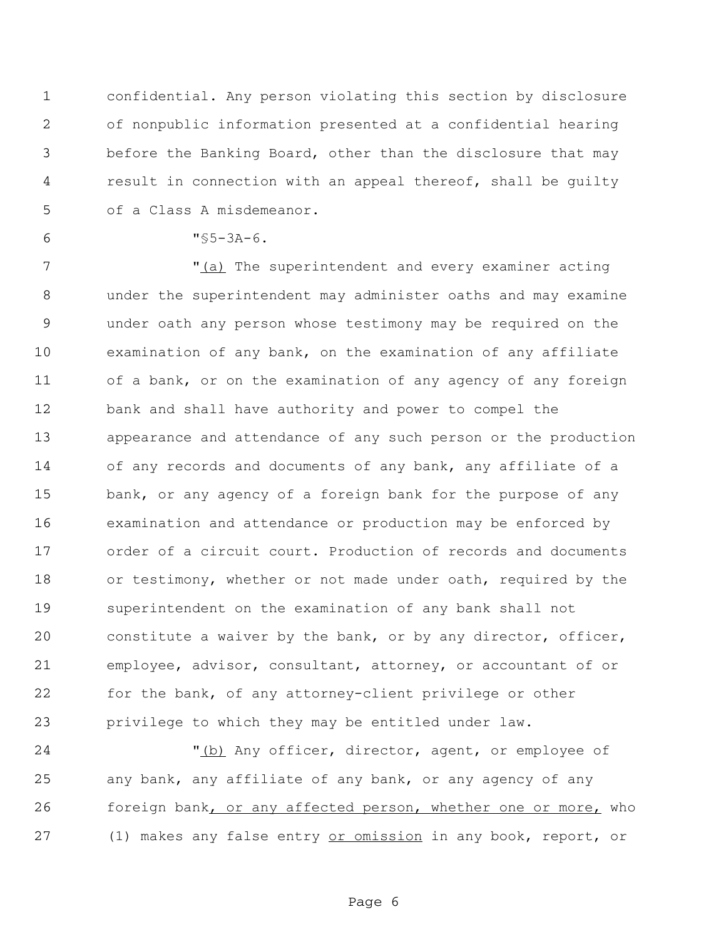confidential. Any person violating this section by disclosure of nonpublic information presented at a confidential hearing before the Banking Board, other than the disclosure that may result in connection with an appeal thereof, shall be guilty of a Class A misdemeanor.

 $5 - 3A - 6.$ 

7 The superintendent and every examiner acting under the superintendent may administer oaths and may examine under oath any person whose testimony may be required on the examination of any bank, on the examination of any affiliate of a bank, or on the examination of any agency of any foreign bank and shall have authority and power to compel the appearance and attendance of any such person or the production of any records and documents of any bank, any affiliate of a 15 bank, or any agency of a foreign bank for the purpose of any examination and attendance or production may be enforced by order of a circuit court. Production of records and documents or testimony, whether or not made under oath, required by the superintendent on the examination of any bank shall not constitute a waiver by the bank, or by any director, officer, employee, advisor, consultant, attorney, or accountant of or for the bank, of any attorney-client privilege or other privilege to which they may be entitled under law.

 "(b) Any officer, director, agent, or employee of any bank, any affiliate of any bank, or any agency of any 26 foreign bank, or any affected person, whether one or more, who (1) makes any false entry or omission in any book, report, or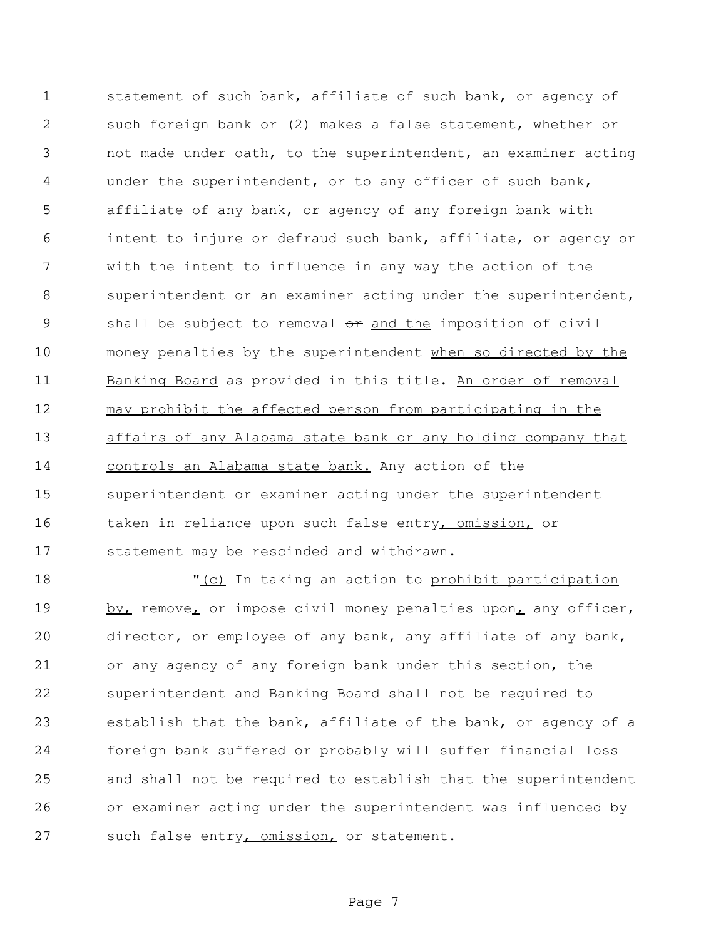statement of such bank, affiliate of such bank, or agency of such foreign bank or (2) makes a false statement, whether or not made under oath, to the superintendent, an examiner acting under the superintendent, or to any officer of such bank, affiliate of any bank, or agency of any foreign bank with intent to injure or defraud such bank, affiliate, or agency or with the intent to influence in any way the action of the 8 superintendent or an examiner acting under the superintendent, 9 shall be subject to removal or and the imposition of civil 10 money penalties by the superintendent when so directed by the Banking Board as provided in this title. An order of removal may prohibit the affected person from participating in the affairs of any Alabama state bank or any holding company that controls an Alabama state bank. Any action of the superintendent or examiner acting under the superintendent 16 taken in reliance upon such false entry, omission, or statement may be rescinded and withdrawn.

18 The Colombia transformation in taking an action to prohibit participation 19 by, remove, or impose civil money penalties upon, any officer, director, or employee of any bank, any affiliate of any bank, or any agency of any foreign bank under this section, the superintendent and Banking Board shall not be required to establish that the bank, affiliate of the bank, or agency of a foreign bank suffered or probably will suffer financial loss and shall not be required to establish that the superintendent or examiner acting under the superintendent was influenced by such false entry, omission, or statement.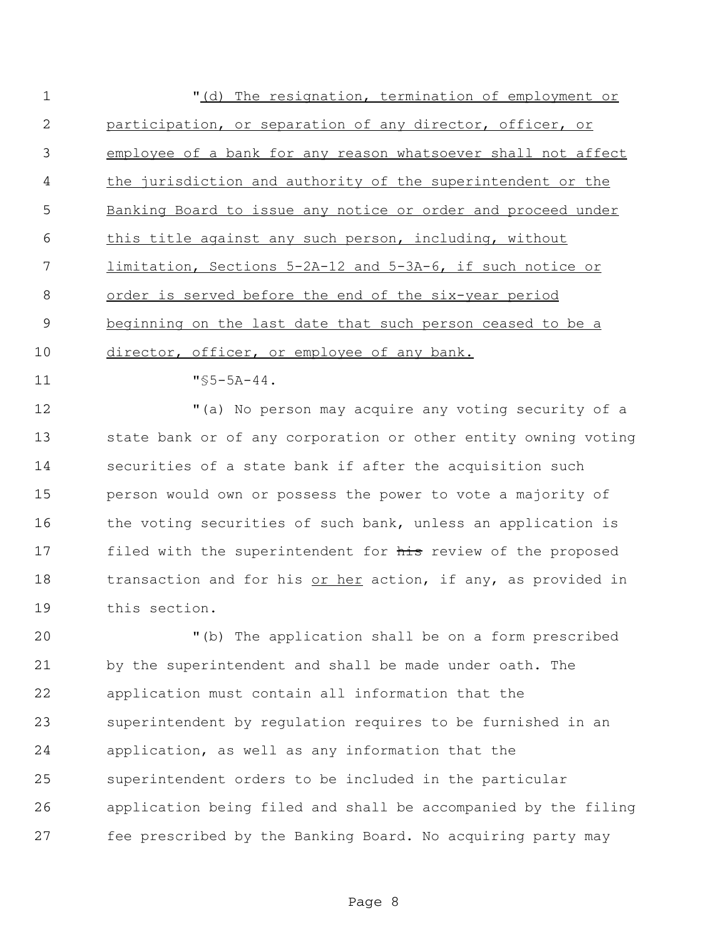"(d) The resignation, termination of employment or participation, or separation of any director, officer, or employee of a bank for any reason whatsoever shall not affect the jurisdiction and authority of the superintendent or the Banking Board to issue any notice or order and proceed under this title against any such person, including, without limitation, Sections 5-2A-12 and 5-3A-6, if such notice or order is served before the end of the six-year period beginning on the last date that such person ceased to be a 10 director, officer, or employee of any bank.

"§5-5A-44.

 "(a) No person may acquire any voting security of a state bank or of any corporation or other entity owning voting securities of a state bank if after the acquisition such person would own or possess the power to vote a majority of 16 the voting securities of such bank, unless an application is 17 filed with the superintendent for his review of the proposed 18 transaction and for his or her action, if any, as provided in this section.

 "(b) The application shall be on a form prescribed by the superintendent and shall be made under oath. The application must contain all information that the superintendent by regulation requires to be furnished in an application, as well as any information that the superintendent orders to be included in the particular application being filed and shall be accompanied by the filing fee prescribed by the Banking Board. No acquiring party may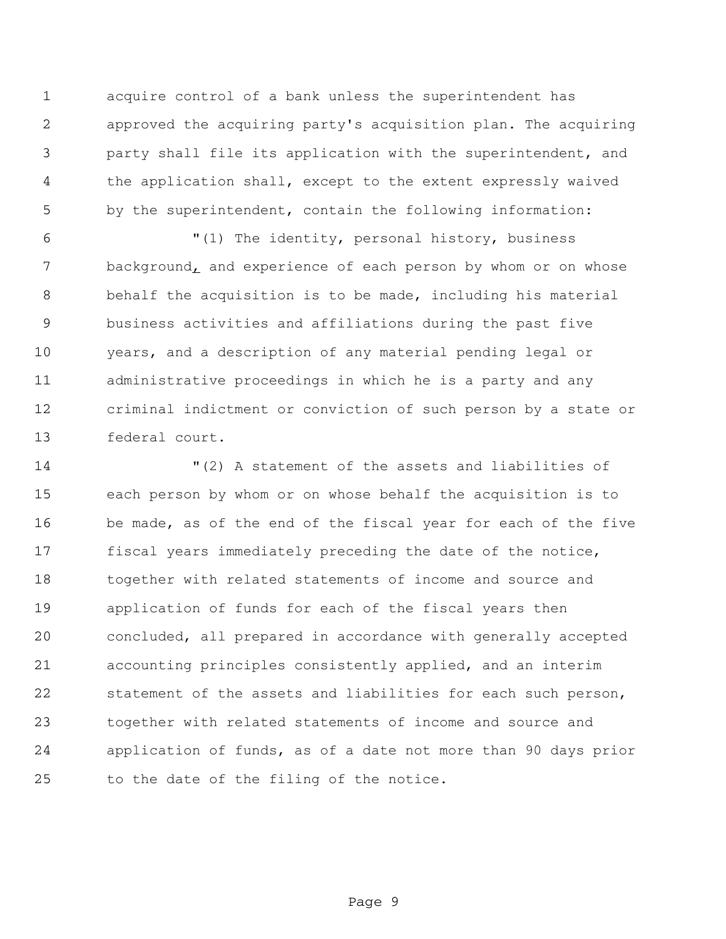acquire control of a bank unless the superintendent has approved the acquiring party's acquisition plan. The acquiring party shall file its application with the superintendent, and the application shall, except to the extent expressly waived by the superintendent, contain the following information:

 "(1) The identity, personal history, business 7 background, and experience of each person by whom or on whose behalf the acquisition is to be made, including his material business activities and affiliations during the past five years, and a description of any material pending legal or administrative proceedings in which he is a party and any criminal indictment or conviction of such person by a state or federal court.

 "(2) A statement of the assets and liabilities of each person by whom or on whose behalf the acquisition is to be made, as of the end of the fiscal year for each of the five fiscal years immediately preceding the date of the notice, together with related statements of income and source and application of funds for each of the fiscal years then concluded, all prepared in accordance with generally accepted accounting principles consistently applied, and an interim statement of the assets and liabilities for each such person, together with related statements of income and source and application of funds, as of a date not more than 90 days prior to the date of the filing of the notice.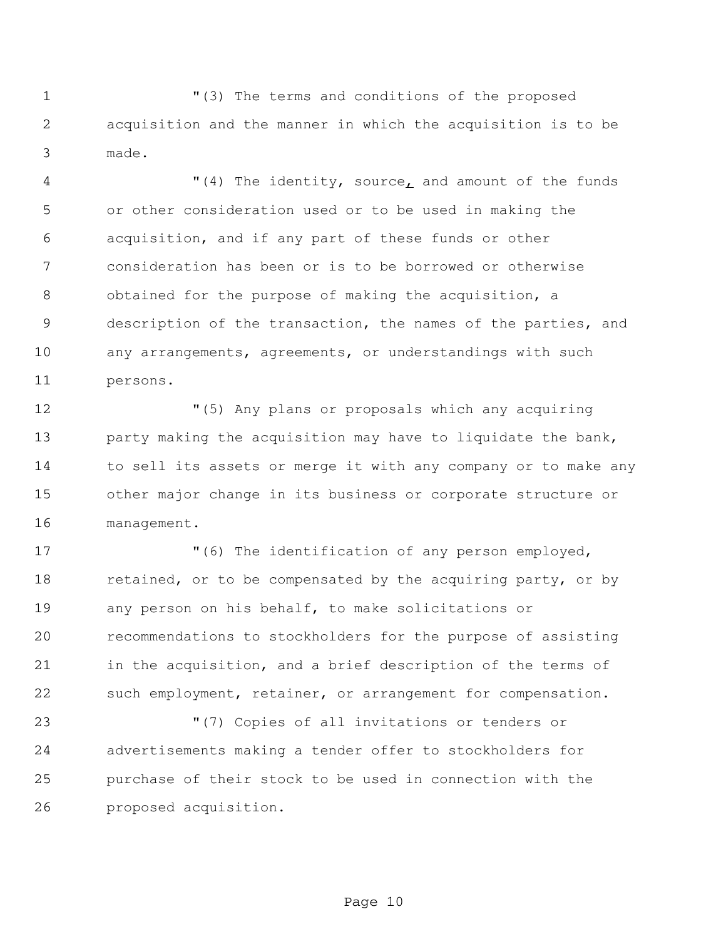"(3) The terms and conditions of the proposed acquisition and the manner in which the acquisition is to be made.

4 "(4) The identity, source, and amount of the funds or other consideration used or to be used in making the acquisition, and if any part of these funds or other consideration has been or is to be borrowed or otherwise obtained for the purpose of making the acquisition, a description of the transaction, the names of the parties, and any arrangements, agreements, or understandings with such persons.

 "(5) Any plans or proposals which any acquiring 13 party making the acquisition may have to liquidate the bank, 14 to sell its assets or merge it with any company or to make any other major change in its business or corporate structure or management.

 "(6) The identification of any person employed, 18 retained, or to be compensated by the acquiring party, or by any person on his behalf, to make solicitations or recommendations to stockholders for the purpose of assisting in the acquisition, and a brief description of the terms of such employment, retainer, or arrangement for compensation.

 "(7) Copies of all invitations or tenders or advertisements making a tender offer to stockholders for purchase of their stock to be used in connection with the proposed acquisition.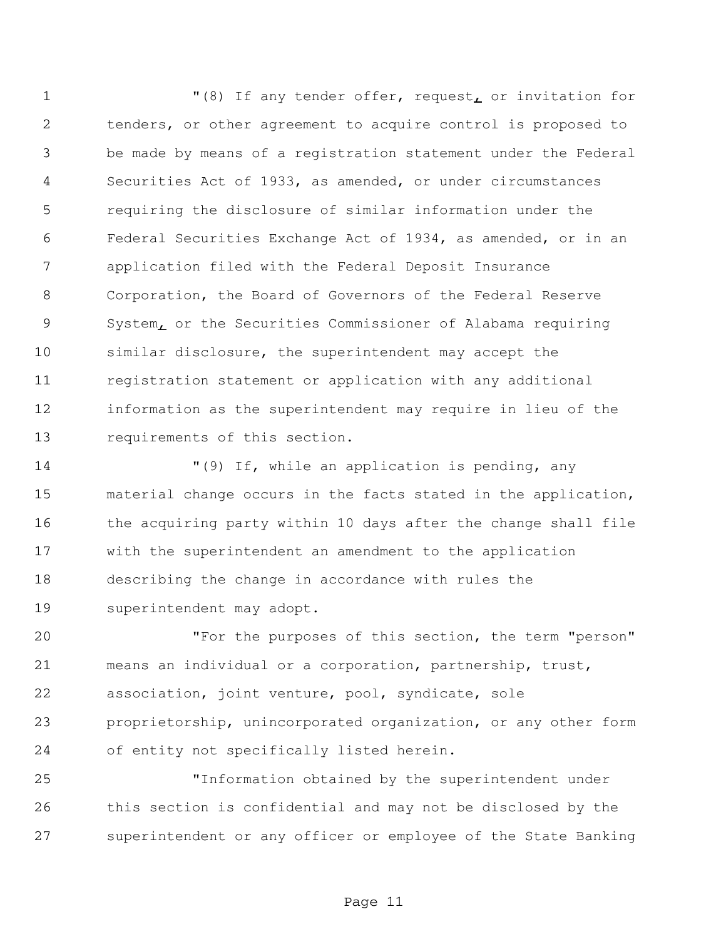"(8) If any tender offer, request, or invitation for tenders, or other agreement to acquire control is proposed to be made by means of a registration statement under the Federal Securities Act of 1933, as amended, or under circumstances requiring the disclosure of similar information under the Federal Securities Exchange Act of 1934, as amended, or in an application filed with the Federal Deposit Insurance Corporation, the Board of Governors of the Federal Reserve 9 System<sub>L</sub> or the Securities Commissioner of Alabama requiring similar disclosure, the superintendent may accept the registration statement or application with any additional information as the superintendent may require in lieu of the requirements of this section.

 "(9) If, while an application is pending, any material change occurs in the facts stated in the application, 16 the acquiring party within 10 days after the change shall file with the superintendent an amendment to the application describing the change in accordance with rules the superintendent may adopt.

 "For the purposes of this section, the term "person" means an individual or a corporation, partnership, trust, association, joint venture, pool, syndicate, sole proprietorship, unincorporated organization, or any other form of entity not specifically listed herein.

 "Information obtained by the superintendent under this section is confidential and may not be disclosed by the superintendent or any officer or employee of the State Banking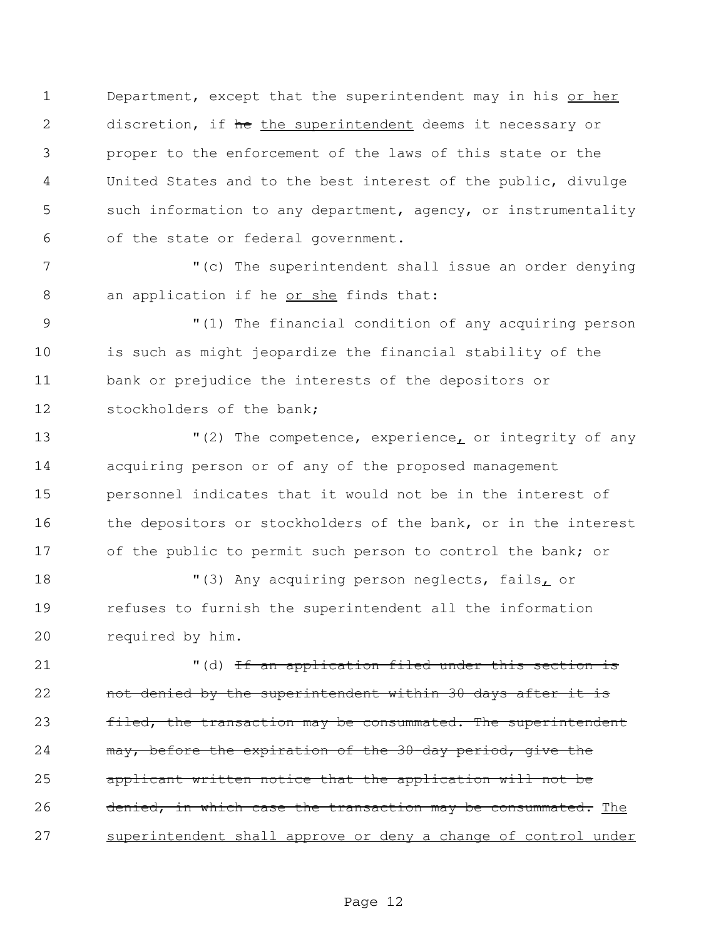1 Department, except that the superintendent may in his or her 2 discretion, if he the superintendent deems it necessary or proper to the enforcement of the laws of this state or the United States and to the best interest of the public, divulge such information to any department, agency, or instrumentality of the state or federal government.

 "(c) The superintendent shall issue an order denying an application if he or she finds that:

 "(1) The financial condition of any acquiring person is such as might jeopardize the financial stability of the bank or prejudice the interests of the depositors or stockholders of the bank;

 "(2) The competence, experience, or integrity of any acquiring person or of any of the proposed management personnel indicates that it would not be in the interest of 16 the depositors or stockholders of the bank, or in the interest of the public to permit such person to control the bank; or

18  $(3)$  Any acquiring person neglects, fails, or refuses to furnish the superintendent all the information required by him.

21 (d) If an application filed under this section is 22 mot denied by the superintendent within 30 days after it is **filed, the transaction may be consummated. The superintendent** 24 may, before the expiration of the 30-day period, give the applicant written notice that the application will not be 26 denied, in which case the transaction may be consummated. The superintendent shall approve or deny a change of control under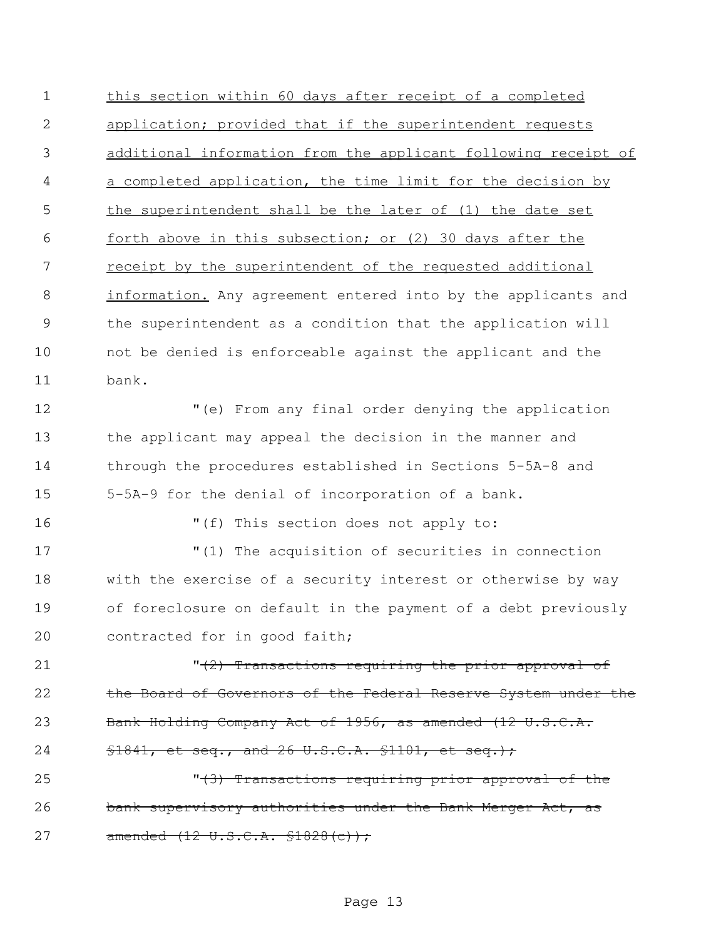this section within 60 days after receipt of a completed application; provided that if the superintendent requests additional information from the applicant following receipt of 4 a completed application, the time limit for the decision by the superintendent shall be the later of (1) the date set forth above in this subsection; or (2) 30 days after the 7 receipt by the superintendent of the requested additional 8 information. Any agreement entered into by the applicants and the superintendent as a condition that the application will not be denied is enforceable against the applicant and the bank. "(e) From any final order denying the application the applicant may appeal the decision in the manner and through the procedures established in Sections 5-5A-8 and 5-5A-9 for the denial of incorporation of a bank.

"(f) This section does not apply to:

 "(1) The acquisition of securities in connection with the exercise of a security interest or otherwise by way of foreclosure on default in the payment of a debt previously 20 contracted for in good faith;

21  $\sqrt{(2)}$  Transactions requiring the prior approval of 22 the Board of Governors of the Federal Reserve System under the 23 Bank Holding Company Act of 1956, as amended (12 U.S.C.A.  $$1841, et seq., and 26 U.S.C.A. $1101, et seq.}$ 

25 The Moving of the Transactions requiring prior approval of the 26 bank supervisory authorities under the Bank Merger Act, as 27 amended (12 U.S.C.A. \$1828(c));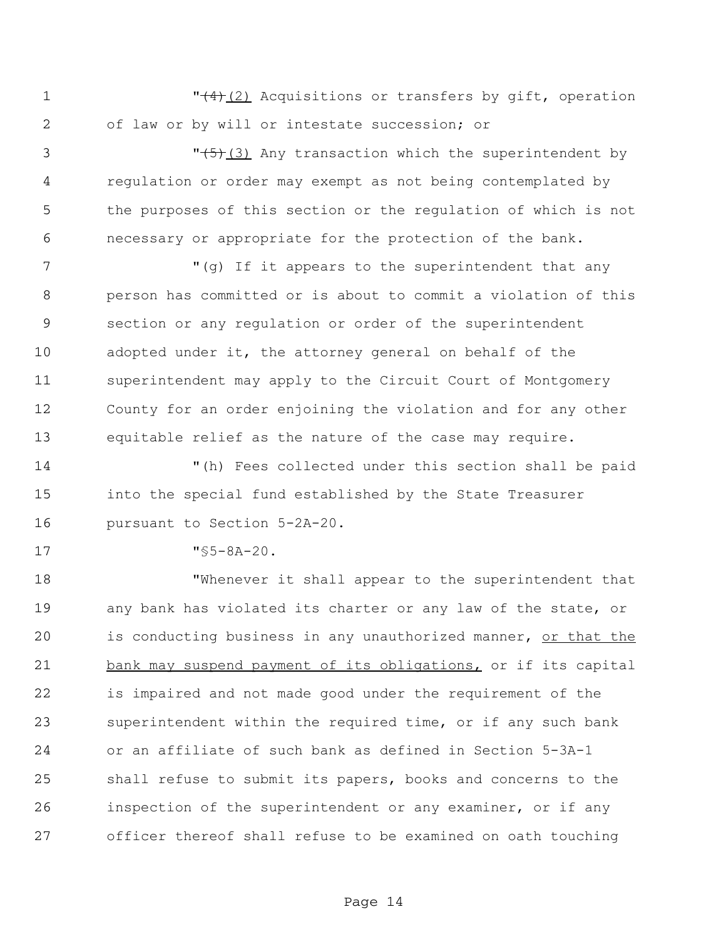1 T<sup>+4</sup> (2) Acquisitions or transfers by gift, operation of law or by will or intestate succession; or

3 The 15th (3) Any transaction which the superintendent by regulation or order may exempt as not being contemplated by the purposes of this section or the regulation of which is not necessary or appropriate for the protection of the bank.

7 "(g) If it appears to the superintendent that any person has committed or is about to commit a violation of this section or any regulation or order of the superintendent adopted under it, the attorney general on behalf of the superintendent may apply to the Circuit Court of Montgomery County for an order enjoining the violation and for any other equitable relief as the nature of the case may require.

 "(h) Fees collected under this section shall be paid into the special fund established by the State Treasurer pursuant to Section 5-2A-20.

"§5-8A-20.

 "Whenever it shall appear to the superintendent that any bank has violated its charter or any law of the state, or 20 is conducting business in any unauthorized manner, or that the 21 bank may suspend payment of its obligations, or if its capital is impaired and not made good under the requirement of the superintendent within the required time, or if any such bank or an affiliate of such bank as defined in Section 5-3A-1 shall refuse to submit its papers, books and concerns to the inspection of the superintendent or any examiner, or if any officer thereof shall refuse to be examined on oath touching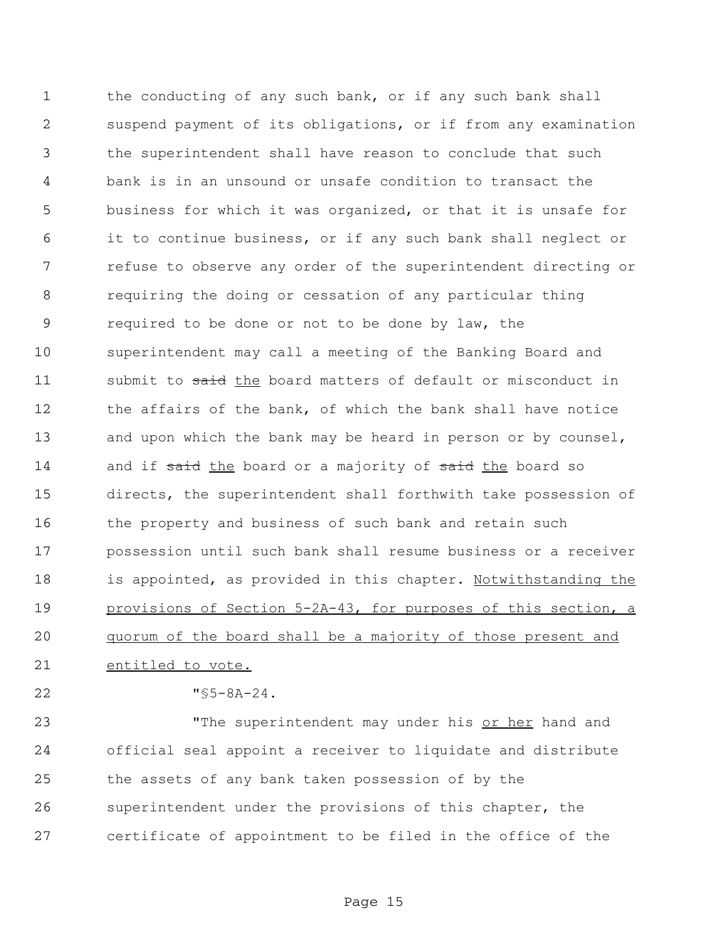1 the conducting of any such bank, or if any such bank shall suspend payment of its obligations, or if from any examination the superintendent shall have reason to conclude that such bank is in an unsound or unsafe condition to transact the business for which it was organized, or that it is unsafe for it to continue business, or if any such bank shall neglect or refuse to observe any order of the superintendent directing or requiring the doing or cessation of any particular thing required to be done or not to be done by law, the superintendent may call a meeting of the Banking Board and 11 submit to said the board matters of default or misconduct in the affairs of the bank, of which the bank shall have notice and upon which the bank may be heard in person or by counsel, 14 and if said the board or a majority of said the board so directs, the superintendent shall forthwith take possession of the property and business of such bank and retain such possession until such bank shall resume business or a receiver 18 is appointed, as provided in this chapter. Notwithstanding the provisions of Section 5-2A-43, for purposes of this section, a quorum of the board shall be a majority of those present and 21 entitled to vote.

"§5-8A-24.

23 The superintendent may under his or her hand and official seal appoint a receiver to liquidate and distribute the assets of any bank taken possession of by the superintendent under the provisions of this chapter, the certificate of appointment to be filed in the office of the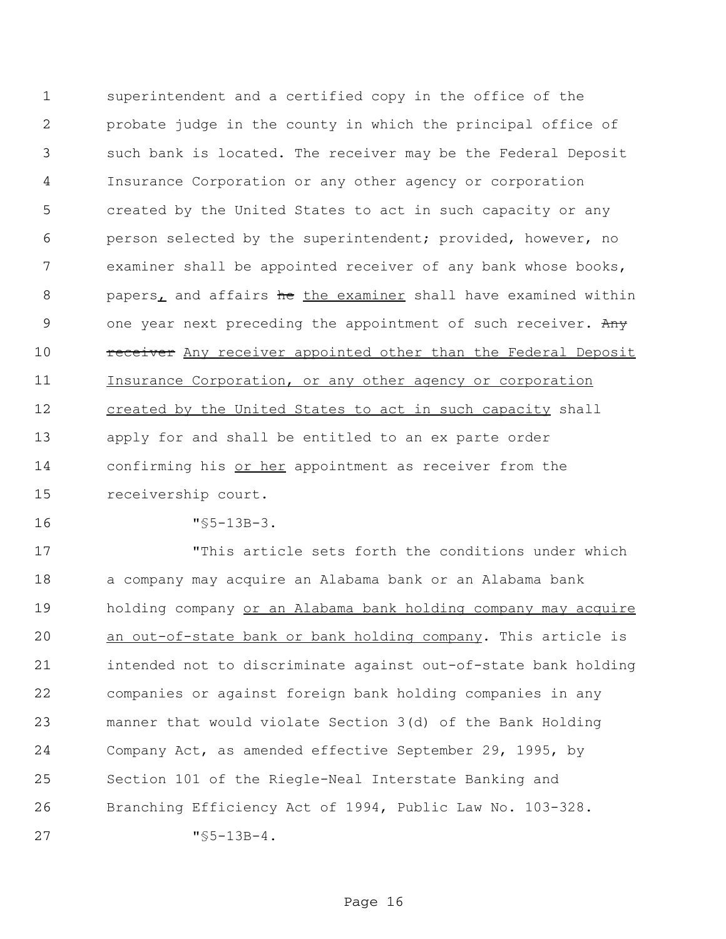superintendent and a certified copy in the office of the probate judge in the county in which the principal office of such bank is located. The receiver may be the Federal Deposit Insurance Corporation or any other agency or corporation created by the United States to act in such capacity or any person selected by the superintendent; provided, however, no examiner shall be appointed receiver of any bank whose books, 8 papers, and affairs he the examiner shall have examined within 9 one year next preceding the appointment of such receiver. Any 10 receiver Any receiver appointed other than the Federal Deposit Insurance Corporation, or any other agency or corporation created by the United States to act in such capacity shall apply for and shall be entitled to an ex parte order confirming his or her appointment as receiver from the receivership court.

"§5-13B-3.

 "This article sets forth the conditions under which a company may acquire an Alabama bank or an Alabama bank holding company or an Alabama bank holding company may acquire an out-of-state bank or bank holding company. This article is intended not to discriminate against out-of-state bank holding companies or against foreign bank holding companies in any manner that would violate Section 3(d) of the Bank Holding Company Act, as amended effective September 29, 1995, by Section 101 of the Riegle-Neal Interstate Banking and Branching Efficiency Act of 1994, Public Law No. 103-328. "§5-13B-4.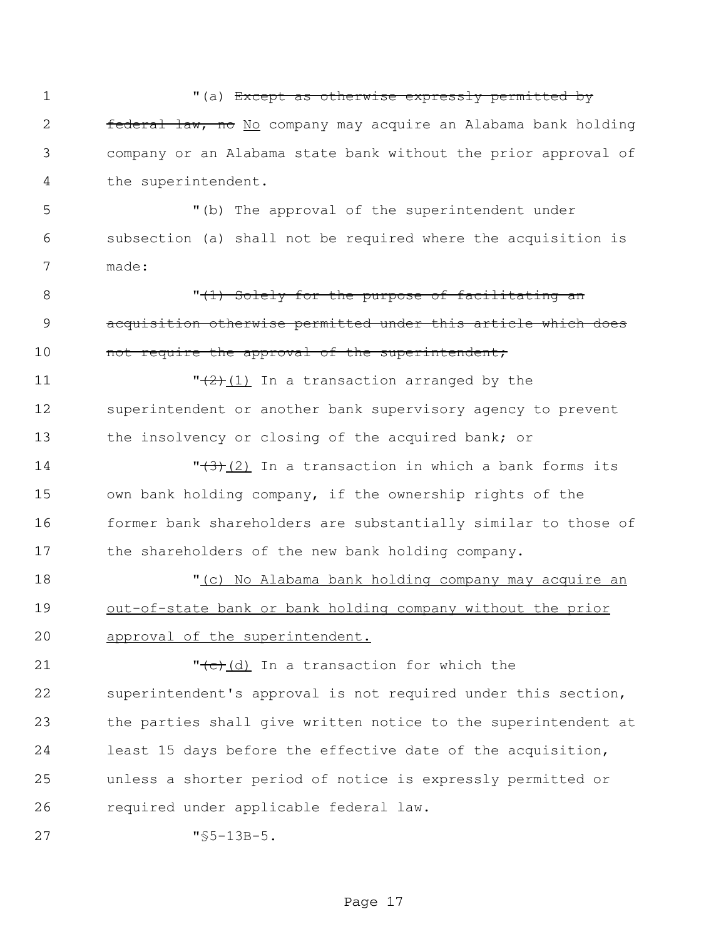## "(a) Except as otherwise expressly permitted by

2 federal law, no No company may acquire an Alabama bank holding company or an Alabama state bank without the prior approval of the superintendent.

 "(b) The approval of the superintendent under subsection (a) shall not be required where the acquisition is made:

8  $\sqrt{(1)}$  Solely for the purpose of facilitating an acquisition otherwise permitted under this article which does 10 mot require the approval of the superintendent;

11  $\sqrt{(2)}$ (1) In a transaction arranged by the superintendent or another bank supervisory agency to prevent the insolvency or closing of the acquired bank; or

 $\sqrt{(3)}$ (2) In a transaction in which a bank forms its own bank holding company, if the ownership rights of the former bank shareholders are substantially similar to those of the shareholders of the new bank holding company.

18 The Colombia Company may acquire an  $\frac{m}{c}$  No Alabama bank holding company may acquire an out-of-state bank or bank holding company without the prior approval of the superintendent.

 $\sqrt{c}$  (d) In a transaction for which the superintendent's approval is not required under this section, the parties shall give written notice to the superintendent at least 15 days before the effective date of the acquisition, unless a shorter period of notice is expressly permitted or required under applicable federal law.

"§5-13B-5.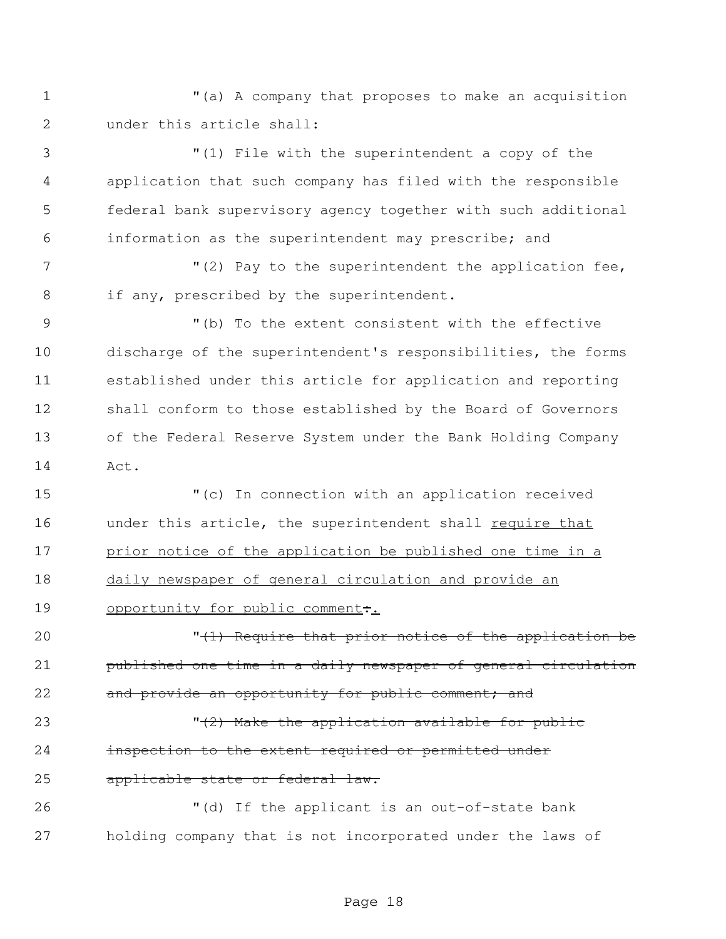"(a) A company that proposes to make an acquisition under this article shall:

 "(1) File with the superintendent a copy of the application that such company has filed with the responsible federal bank supervisory agency together with such additional information as the superintendent may prescribe; and

7 "(2) Pay to the superintendent the application fee, 8 if any, prescribed by the superintendent.

 "(b) To the extent consistent with the effective discharge of the superintendent's responsibilities, the forms established under this article for application and reporting shall conform to those established by the Board of Governors of the Federal Reserve System under the Bank Holding Company Act.

 "(c) In connection with an application received under this article, the superintendent shall require that prior notice of the application be published one time in a 18 daily newspaper of general circulation and provide an 19 opportunity for public comment:

20 The Thequire that prior notice of the application be published one time in a daily newspaper of general circulation 22 and provide an opportunity for public comment; and

 $\sqrt{(2)}$  Make the application available for public **inspection to the extent required or permitted under** 25 applicable state or federal law.

 "(d) If the applicant is an out-of-state bank holding company that is not incorporated under the laws of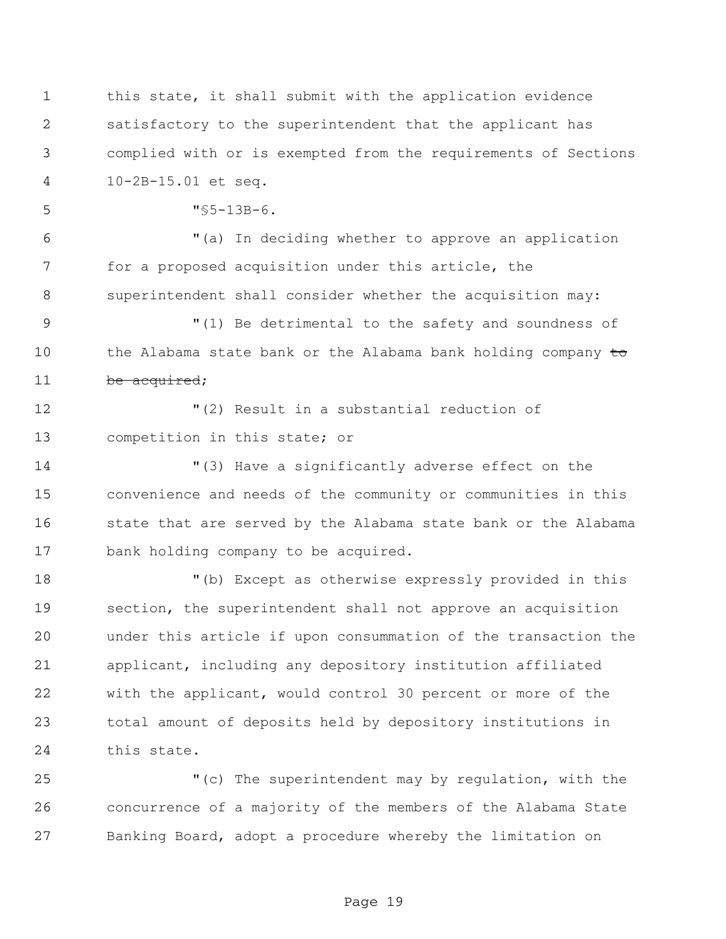this state, it shall submit with the application evidence satisfactory to the superintendent that the applicant has complied with or is exempted from the requirements of Sections 10-2B-15.01 et seq. "§5-13B-6. "(a) In deciding whether to approve an application for a proposed acquisition under this article, the superintendent shall consider whether the acquisition may: "(1) Be detrimental to the safety and soundness of 10 the Alabama state bank or the Alabama bank holding company to 11 be acquired; "(2) Result in a substantial reduction of competition in this state; or "(3) Have a significantly adverse effect on the convenience and needs of the community or communities in this state that are served by the Alabama state bank or the Alabama bank holding company to be acquired. "(b) Except as otherwise expressly provided in this section, the superintendent shall not approve an acquisition under this article if upon consummation of the transaction the applicant, including any depository institution affiliated with the applicant, would control 30 percent or more of the total amount of deposits held by depository institutions in this state.

 "(c) The superintendent may by regulation, with the concurrence of a majority of the members of the Alabama State Banking Board, adopt a procedure whereby the limitation on